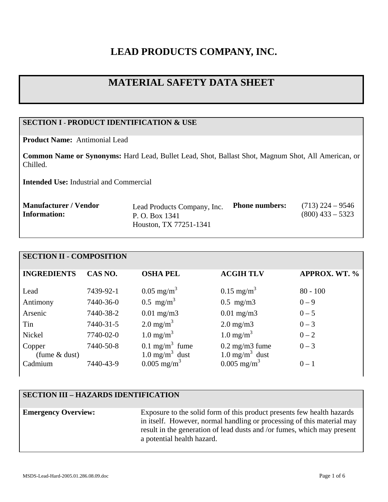# **LEAD PRODUCTS COMPANY, INC.**

# **MATERIAL SAFETY DATA SHEET**

# **SECTION I - PRODUCT IDENTIFICATION & USE**

**Product Name:** Antimonial Lead

**Common Name or Synonyms:** Hard Lead, Bullet Lead, Shot, Ballast Shot, Magnum Shot, All American, or Chilled.

**Intended Use:** Industrial and Commercial

| <b>Manufacturer / Vendor</b> | Lead Products Company, Inc. | <b>Phone numbers:</b> | $(713)$ 224 – 9546 |
|------------------------------|-----------------------------|-----------------------|--------------------|
| <b>Information:</b>          | P. O. Box 1341              |                       | $(800)$ 433 – 5323 |
|                              | Houston, TX 77251-1341      |                       |                    |

#### **SECTION II - COMPOSITION**

| <b>INGREDIENTS</b>         | CAS NO.   | <b>OSHA PEL</b>                                           | <b>ACGIH TLV</b>                                          | <b>APPROX. WT. %</b> |
|----------------------------|-----------|-----------------------------------------------------------|-----------------------------------------------------------|----------------------|
|                            |           |                                                           |                                                           |                      |
| Lead                       | 7439-92-1 | $0.05 \text{ mg/m}^3$                                     | $0.15 \text{ mg/m}^3$                                     | $80 - 100$           |
| Antimony                   | 7440-36-0 | $0.5$ mg/m <sup>3</sup>                                   | $0.5$ mg/m $3$                                            | $0 - 9$              |
| Arsenic                    | 7440-38-2 | $0.01$ mg/m3                                              | $0.01$ mg/m $3$                                           | $0 - 5$              |
| Tin                        | 7440-31-5 | $2.0 \text{ mg/m}^3$                                      | $2.0 \text{ mg/m}$ 3                                      | $0 - 3$              |
| Nickel                     | 7740-02-0 | $1.0 \text{ mg/m}^3$                                      | $1.0 \text{ mg/m}^3$                                      | $0 - 2$              |
| Copper                     | 7440-50-8 | 0.1 mg/m <sup>3</sup> fume                                | $0.2 \text{ mg/m}$ 3 fume                                 | $0 - 3$              |
| (fume $&$ dust)<br>Cadmium | 7440-43-9 | $1.0$ mg/m <sup>3</sup> dust<br>$0.005$ mg/m <sup>3</sup> | $1.0$ mg/m <sup>3</sup> dust<br>$0.005$ mg/m <sup>3</sup> | $0 - 1$              |
|                            |           |                                                           |                                                           |                      |

# **SECTION III – HAZARDS IDENTIFICATION**

**Emergency Overview:** Exposure to the solid form of this product presents few health hazards in itself. However, normal handling or processing of this material may result in the generation of lead dusts and /or fumes, which may present a potential health hazard.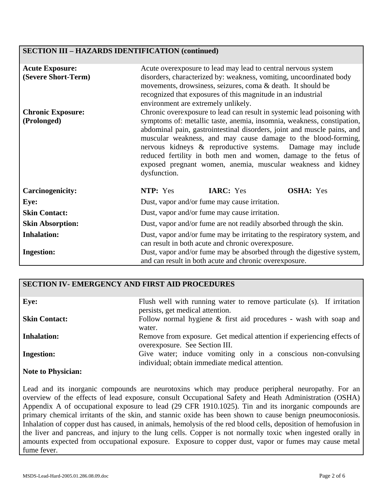## **SECTION III – HAZARDS IDENTIFICATION (continued)**

| <b>Acute Exposure:</b><br>(Severe Short-Term) | Acute overexposure to lead may lead to central nervous system<br>disorders, characterized by: weakness, vomiting, uncoordinated body<br>movements, drowsiness, seizures, coma & death. It should be<br>recognized that exposures of this magnitude in an industrial<br>environment are extremely unlikely.                                                                                                                                                                                                     |  |  |
|-----------------------------------------------|----------------------------------------------------------------------------------------------------------------------------------------------------------------------------------------------------------------------------------------------------------------------------------------------------------------------------------------------------------------------------------------------------------------------------------------------------------------------------------------------------------------|--|--|
| <b>Chronic Exposure:</b><br>(Prolonged)       | Chronic overexposure to lead can result in systemic lead poisoning with<br>symptoms of: metallic taste, anemia, insomnia, weakness, constipation,<br>abdominal pain, gastrointestinal disorders, joint and muscle pains, and<br>muscular weakness, and may cause damage to the blood-forming,<br>nervous kidneys & reproductive systems. Damage may include<br>reduced fertility in both men and women, damage to the fetus of<br>exposed pregnant women, anemia, muscular weakness and kidney<br>dysfunction. |  |  |
| <b>Carcinogenicity:</b>                       | NTP: Yes<br><b>IARC:</b> Yes<br><b>OSHA:</b> Yes                                                                                                                                                                                                                                                                                                                                                                                                                                                               |  |  |
| Eye:                                          | Dust, vapor and/or fume may cause irritation.                                                                                                                                                                                                                                                                                                                                                                                                                                                                  |  |  |
| <b>Skin Contact:</b>                          | Dust, vapor and/or fume may cause irritation.                                                                                                                                                                                                                                                                                                                                                                                                                                                                  |  |  |
| <b>Skin Absorption:</b>                       | Dust, vapor and/or fume are not readily absorbed through the skin.                                                                                                                                                                                                                                                                                                                                                                                                                                             |  |  |
| <b>Inhalation:</b>                            | Dust, vapor and/or fume may be irritating to the respiratory system, and<br>can result in both acute and chronic overexposure.                                                                                                                                                                                                                                                                                                                                                                                 |  |  |
| <b>Ingestion:</b>                             | Dust, vapor and/or fume may be absorbed through the digestive system,<br>and can result in both acute and chronic overexposure.                                                                                                                                                                                                                                                                                                                                                                                |  |  |

## **SECTION IV- EMERGENCY AND FIRST AID PROCEDURES**

| Eye:                      | Flush well with running water to remove particulate (s). If irritation<br>persists, get medical attention.        |
|---------------------------|-------------------------------------------------------------------------------------------------------------------|
| <b>Skin Contact:</b>      | Follow normal hygiene $\&$ first aid procedures - wash with soap and<br>water.                                    |
| <b>Inhalation:</b>        | Remove from exposure. Get medical attention if experiencing effects of<br>overexposure. See Section III.          |
| <b>Ingestion:</b>         | Give water; induce vomiting only in a conscious non-convulsing<br>individual; obtain immediate medical attention. |
| <b>Note to Physician:</b> |                                                                                                                   |

Lead and its inorganic compounds are neurotoxins which may produce peripheral neuropathy. For an overview of the effects of lead exposure, consult Occupational Safety and Heath Administration (OSHA) Appendix A of occupational exposure to lead (29 CFR 1910.1025). Tin and its inorganic compounds are primary chemical irritants of the skin, and stannic oxide has been shown to cause benign pneumoconiosis. Inhalation of copper dust has caused, in animals, hemolysis of the red blood cells, deposition of hemofusion in the liver and pancreas, and injury to the lung cells. Copper is not normally toxic when ingested orally in amounts expected from occupational exposure. Exposure to copper dust, vapor or fumes may cause metal fume fever.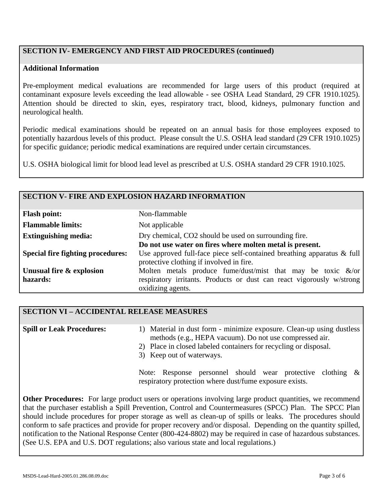# **SECTION IV- EMERGENCY AND FIRST AID PROCEDURES (continued)**

#### **Additional Information**

Pre-employment medical evaluations are recommended for large users of this product (required at contaminant exposure levels exceeding the lead allowable - see OSHA Lead Standard, 29 CFR 1910.1025). Attention should be directed to skin, eyes, respiratory tract, blood, kidneys, pulmonary function and neurological health.

Periodic medical examinations should be repeated on an annual basis for those employees exposed to potentially hazardous levels of this product. Please consult the U.S. OSHA lead standard (29 CFR 1910.1025) for specific guidance; periodic medical examinations are required under certain circumstances.

U.S. OSHA biological limit for blood lead level as prescribed at U.S. OSHA standard 29 CFR 1910.1025.

#### **SECTION V- FIRE AND EXPLOSION HAZARD INFORMATION**

| <b>Flash point:</b>                      | Non-flammable                                                                                                      |  |
|------------------------------------------|--------------------------------------------------------------------------------------------------------------------|--|
| <b>Flammable limits:</b>                 | Not applicable                                                                                                     |  |
| <b>Extinguishing media:</b>              | Dry chemical, CO2 should be used on surrounding fire.                                                              |  |
|                                          | Do not use water on fires where molten metal is present.                                                           |  |
| <b>Special fire fighting procedures:</b> | Use approved full-face piece self-contained breathing apparatus & full<br>protective clothing if involved in fire. |  |
| Unusual fire & explosion                 | Molten metals produce fume/dust/mist that may be toxic $\&$ /or                                                    |  |
| hazards:                                 | respiratory irritants. Products or dust can react vigorously w/strong                                              |  |
|                                          | oxidizing agents.                                                                                                  |  |

# **SECTION VI – ACCIDENTAL RELEASE MEASURES Spill or Leak Procedures:**

| <b>Spill or Leak Procedures:</b>                                                              | 1) Material in dust form - minimize exposure. Clean-up using dustless |
|-----------------------------------------------------------------------------------------------|-----------------------------------------------------------------------|
|                                                                                               | methods (e.g., HEPA vacuum). Do not use compressed air.               |
| 2) Place in closed labeled containers for recycling or disposal.<br>3) Keep out of waterways. |                                                                       |
|                                                                                               | Note: Response personnel should wear protective clothing $\&$         |

Note: Response personnel should wear protective clothing & respiratory protection where dust/fume exposure exists.

**Other Procedures:** For large product users or operations involving large product quantities, we recommend that the purchaser establish a Spill Prevention, Control and Countermeasures (SPCC) Plan. The SPCC Plan should include procedures for proper storage as well as clean-up of spills or leaks. The procedures should conform to safe practices and provide for proper recovery and/or disposal. Depending on the quantity spilled, notification to the National Response Center (800-424-8802) may be required in case of hazardous substances. (See U.S. EPA and U.S. DOT regulations; also various state and local regulations.)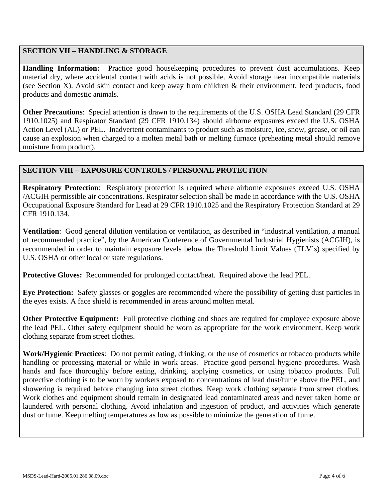# **SECTION VII – HANDLING & STORAGE**

**Handling Information:** Practice good housekeeping procedures to prevent dust accumulations. Keep material dry, where accidental contact with acids is not possible. Avoid storage near incompatible materials (see Section X). Avoid skin contact and keep away from children & their environment, feed products, food products and domestic animals.

**Other Precautions**: Special attention is drawn to the requirements of the U.S. OSHA Lead Standard (29 CFR 1910.1025) and Respirator Standard (29 CFR 1910.134) should airborne exposures exceed the U.S. OSHA Action Level (AL) or PEL. Inadvertent contaminants to product such as moisture, ice, snow, grease, or oil can cause an explosion when charged to a molten metal bath or melting furnace (preheating metal should remove moisture from product).

# **SECTION VIII – EXPOSURE CONTROLS / PERSONAL PROTECTION**

**Respiratory Protection**: Respiratory protection is required where airborne exposures exceed U.S. OSHA /ACGIH permissible air concentrations. Respirator selection shall be made in accordance with the U.S. OSHA Occupational Exposure Standard for Lead at 29 CFR 1910.1025 and the Respiratory Protection Standard at 29 CFR 1910.134.

**Ventilation**: Good general dilution ventilation or ventilation, as described in "industrial ventilation, a manual of recommended practice", by the American Conference of Governmental Industrial Hygienists (ACGIH), is recommended in order to maintain exposure levels below the Threshold Limit Values (TLV's) specified by U.S. OSHA or other local or state regulations.

**Protective Gloves:** Recommended for prolonged contact/heat. Required above the lead PEL.

**Eye Protection:** Safety glasses or goggles are recommended where the possibility of getting dust particles in the eyes exists. A face shield is recommended in areas around molten metal.

**Other Protective Equipment:** Full protective clothing and shoes are required for employee exposure above the lead PEL. Other safety equipment should be worn as appropriate for the work environment. Keep work clothing separate from street clothes.

**Work/Hygienic Practices**: Do not permit eating, drinking, or the use of cosmetics or tobacco products while handling or processing material or while in work areas. Practice good personal hygiene procedures. Wash hands and face thoroughly before eating, drinking, applying cosmetics, or using tobacco products. Full protective clothing is to be worn by workers exposed to concentrations of lead dust/fume above the PEL, and showering is required before changing into street clothes. Keep work clothing separate from street clothes. Work clothes and equipment should remain in designated lead contaminated areas and never taken home or laundered with personal clothing. Avoid inhalation and ingestion of product, and activities which generate dust or fume. Keep melting temperatures as low as possible to minimize the generation of fume.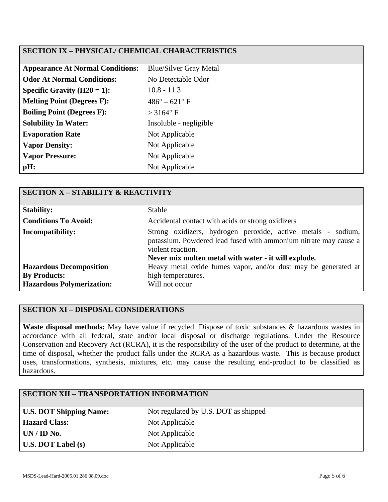# **SECTION IX – PHYSICAL/ CHEMICAL CHARACTERISTICS**

| <b>Appearance At Normal Conditions:</b> | <b>Blue/Silver Gray Metal</b> |
|-----------------------------------------|-------------------------------|
| <b>Odor At Normal Conditions:</b>       | No Detectable Odor            |
| Specific Gravity $(H20 = 1)$ :          | $10.8 - 11.3$                 |
| <b>Melting Point (Degrees F):</b>       | $486^{\circ} - 621^{\circ}$ F |
| <b>Boiling Point (Degrees F):</b>       | $>$ 3164 $\degree$ F          |
| <b>Solubility In Water:</b>             | Insoluble - negligible        |
| <b>Evaporation Rate</b>                 | Not Applicable                |
| <b>Vapor Density:</b>                   | Not Applicable                |
| <b>Vapor Pressure:</b>                  | Not Applicable                |
| pH:                                     | Not Applicable                |

| <b>SECTION X - STABILITY &amp; REACTIVITY</b>         |                                                                                                                                                                                                               |
|-------------------------------------------------------|---------------------------------------------------------------------------------------------------------------------------------------------------------------------------------------------------------------|
| <b>Stability:</b>                                     | <b>Stable</b>                                                                                                                                                                                                 |
| <b>Conditions To Avoid:</b>                           | Accidental contact with acids or strong oxidizers                                                                                                                                                             |
| <b>Incompatibility:</b>                               | Strong oxidizers, hydrogen peroxide, active metals - sodium,<br>potassium. Powdered lead fused with ammonium nitrate may cause a<br>violent reaction.<br>Never mix molten metal with water - it will explode. |
| <b>Hazardous Decomposition</b><br><b>By Products:</b> | Heavy metal oxide fumes vapor, and/or dust may be generated at<br>high temperatures.                                                                                                                          |
| <b>Hazardous Polymerization:</b>                      | Will not occur                                                                                                                                                                                                |

#### **SECTION XI – DISPOSAL CONSIDERATIONS**

**Waste disposal methods:** May have value if recycled. Dispose of toxic substances & hazardous wastes in accordance with all federal, state and/or local disposal or discharge regulations. Under the Resource Conservation and Recovery Act (RCRA), it is the responsibility of the user of the product to determine, at the time of disposal, whether the product falls under the RCRA as a hazardous waste. This is because product uses, transformations, synthesis, mixtures, etc. may cause the resulting end-product to be classified as hazardous.

# **SECTION XII – TRANSPORTATION INFORMATION U.S. DOT Shipping Name:** Not regulated by U.S. DOT as shipped Hazard Class: Not Applicable **UN / ID No.** Not Applicable **U.S. DOT Label (s)** Not Applicable